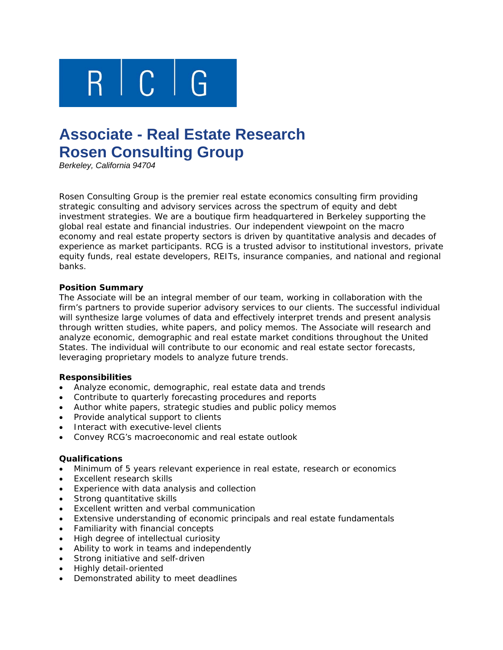

# **Associate - Real Estate Research Rosen Consulting Group**

*Berkeley, California 94704* 

Rosen Consulting Group is the premier real estate economics consulting firm providing strategic consulting and advisory services across the spectrum of equity and debt investment strategies. We are a boutique firm headquartered in Berkeley supporting the global real estate and financial industries. Our independent viewpoint on the macro economy and real estate property sectors is driven by quantitative analysis and decades of experience as market participants. RCG is a trusted advisor to institutional investors, private equity funds, real estate developers, REITs, insurance companies, and national and regional banks.

#### **Position Summary**

The Associate will be an integral member of our team, working in collaboration with the firm's partners to provide superior advisory services to our clients. The successful individual will synthesize large volumes of data and effectively interpret trends and present analysis through written studies, white papers, and policy memos. The Associate will research and analyze economic, demographic and real estate market conditions throughout the United States. The individual will contribute to our economic and real estate sector forecasts, leveraging proprietary models to analyze future trends.

## **Responsibilities**

- Analyze economic, demographic, real estate data and trends
- Contribute to quarterly forecasting procedures and reports
- Author white papers, strategic studies and public policy memos
- Provide analytical support to clients
- Interact with executive-level clients
- Convey RCG's macroeconomic and real estate outlook

## **Qualifications**

- Minimum of 5 years relevant experience in real estate, research or economics
- Excellent research skills
- Experience with data analysis and collection
- Strong quantitative skills
- Excellent written and verbal communication
- Extensive understanding of economic principals and real estate fundamentals
- Familiarity with financial concepts
- High degree of intellectual curiosity
- Ability to work in teams and independently
- Strong initiative and self-driven
- Highly detail-oriented
- Demonstrated ability to meet deadlines